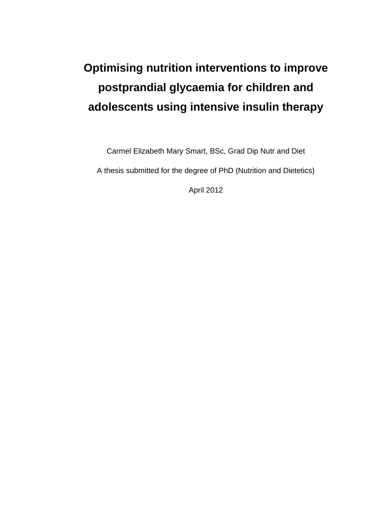# **Optimising nutrition interventions to improve postprandial glycaemia for children and adolescents using intensive insulin therapy**

Carmel Elizabeth Mary Smart, BSc, Grad Dip Nutr and Diet

A thesis submitted for the degree of PhD (Nutrition and Dietetics)

April 2012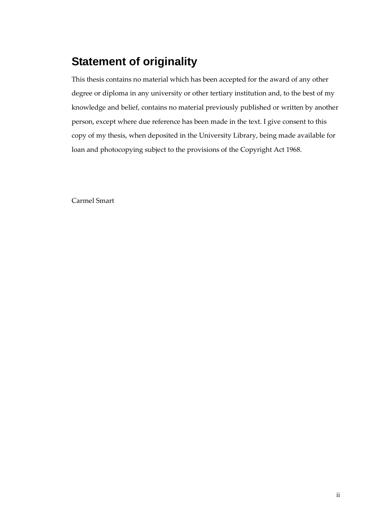### <span id="page-1-0"></span>**Statement of originality**

This thesis contains no material which has been accepted for the award of any other degree or diploma in any university or other tertiary institution and, to the best of my knowledge and belief, contains no material previously published or written by another person, except where due reference has been made in the text. I give consent to this copy of my thesis, when deposited in the University Library, being made available for loan and photocopying subject to the provisions of the Copyright Act 1968.

Carmel Smart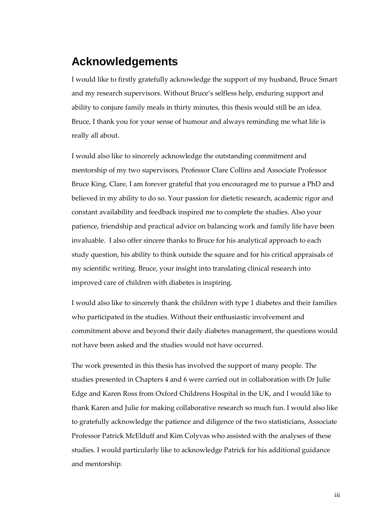### <span id="page-2-0"></span>**Acknowledgements**

I would like to firstly gratefully acknowledge the support of my husband, Bruce Smart and my research supervisors. Without Bruce's selfless help, enduring support and ability to conjure family meals in thirty minutes, this thesis would still be an idea. Bruce, I thank you for your sense of humour and always reminding me what life is really all about.

I would also like to sincerely acknowledge the outstanding commitment and mentorship of my two supervisors, Professor Clare Collins and Associate Professor Bruce King. Clare, I am forever grateful that you encouraged me to pursue a PhD and believed in my ability to do so. Your passion for dietetic research, academic rigor and constant availability and feedback inspired me to complete the studies. Also your patience, friendship and practical advice on balancing work and family life have been invaluable. I also offer sincere thanks to Bruce for his analytical approach to each study question, his ability to think outside the square and for his critical appraisals of my scientific writing. Bruce, your insight into translating clinical research into improved care of children with diabetes is inspiring.

I would also like to sincerely thank the children with type 1 diabetes and their families who participated in the studies. Without their enthusiastic involvement and commitment above and beyond their daily diabetes management, the questions would not have been asked and the studies would not have occurred.

The work presented in this thesis has involved the support of many people. The studies presented in Chapters 4 and 6 were carried out in collaboration with Dr Julie Edge and Karen Ross from Oxford Childrens Hospital in the UK, and I would like to thank Karen and Julie for making collaborative research so much fun. I would also like to gratefully acknowledge the patience and diligence of the two statisticians, Associate Professor Patrick McElduff and Kim Colyvas who assisted with the analyses of these studies. I would particularly like to acknowledge Patrick for his additional guidance and mentorship.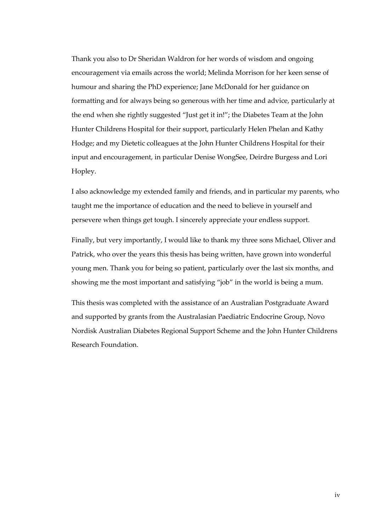Thank you also to Dr Sheridan Waldron for her words of wisdom and ongoing encouragement via emails across the world; Melinda Morrison for her keen sense of humour and sharing the PhD experience; Jane McDonald for her guidance on formatting and for always being so generous with her time and advice, particularly at the end when she rightly suggested "Just get it in!"; the Diabetes Team at the John Hunter Childrens Hospital for their support, particularly Helen Phelan and Kathy Hodge; and my Dietetic colleagues at the John Hunter Childrens Hospital for their input and encouragement, in particular Denise WongSee, Deirdre Burgess and Lori Hopley.

I also acknowledge my extended family and friends, and in particular my parents, who taught me the importance of education and the need to believe in yourself and persevere when things get tough. I sincerely appreciate your endless support.

Finally, but very importantly, I would like to thank my three sons Michael, Oliver and Patrick, who over the years this thesis has being written, have grown into wonderful young men. Thank you for being so patient, particularly over the last six months, and showing me the most important and satisfying "job" in the world is being a mum.

This thesis was completed with the assistance of an Australian Postgraduate Award and supported by grants from the Australasian Paediatric Endocrine Group, Novo Nordisk Australian Diabetes Regional Support Scheme and the John Hunter Childrens Research Foundation.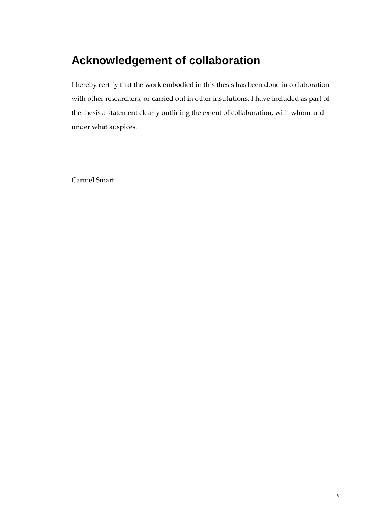### <span id="page-4-0"></span>**Acknowledgement of collaboration**

I hereby certify that the work embodied in this thesis has been done in collaboration with other researchers, or carried out in other institutions. I have included as part of the thesis a statement clearly outlining the extent of collaboration, with whom and under what auspices.

Carmel Smart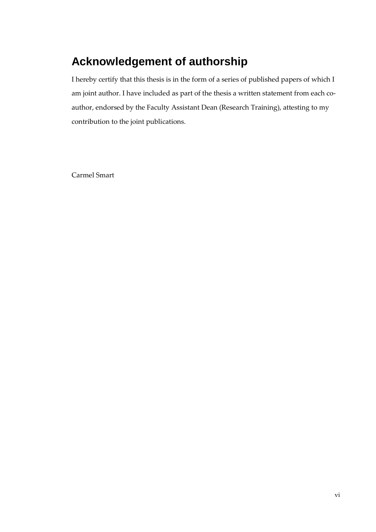### <span id="page-5-0"></span>**Acknowledgement of authorship**

I hereby certify that this thesis is in the form of a series of published papers of which I am joint author. I have included as part of the thesis a written statement from each coauthor, endorsed by the Faculty Assistant Dean (Research Training), attesting to my contribution to the joint publications.

Carmel Smart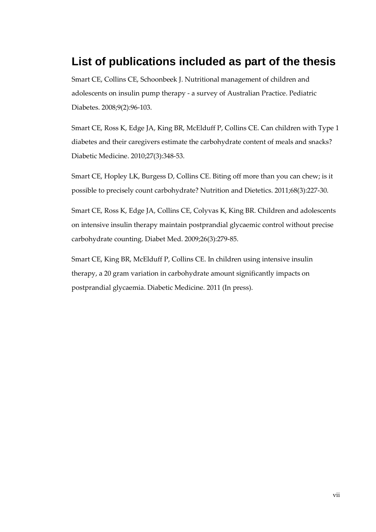### <span id="page-6-0"></span>**List of publications included as part of the thesis**

Smart CE, Collins CE, Schoonbeek J. Nutritional management of children and adolescents on insulin pump therapy - a survey of Australian Practice. Pediatric Diabetes. 2008;9(2):96-103.

Smart CE, Ross K, Edge JA, King BR, McElduff P, Collins CE. Can children with Type 1 diabetes and their caregivers estimate the carbohydrate content of meals and snacks? Diabetic Medicine. 2010;27(3):348-53.

Smart CE, Hopley LK, Burgess D, Collins CE. Biting off more than you can chew; is it possible to precisely count carbohydrate? Nutrition and Dietetics. 2011;68(3):227-30.

Smart CE, Ross K, Edge JA, Collins CE, Colyvas K, King BR. Children and adolescents on intensive insulin therapy maintain postprandial glycaemic control without precise carbohydrate counting. Diabet Med. 2009;26(3):279-85.

Smart CE, King BR, McElduff P, Collins CE. In children using intensive insulin therapy, a 20 gram variation in carbohydrate amount significantly impacts on postprandial glycaemia. Diabetic Medicine. 2011 (In press).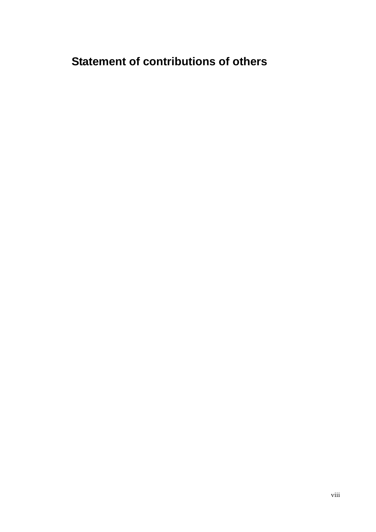### <span id="page-7-0"></span>**Statement of contributions of others**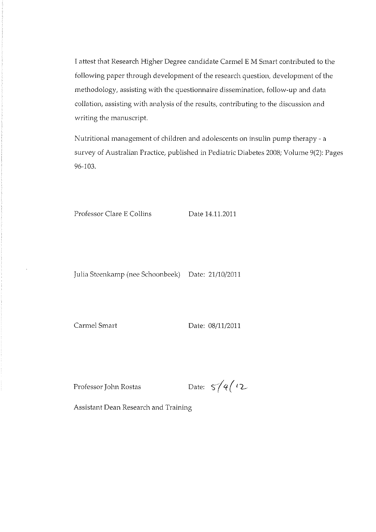I attest that Eesearch Higher Degree candidate Carmel EM Smart contributed to the following paper through development of the research question, development of the methodology, assisting with the questionnaire dissemination, follow-up and data collation, assisting with analysis of the results, contributing to the discussion and writing the manuscript.

Nutritional management of children and adolescents on insulin pump therapy- a survey of Australian Practice, published in Pediatric Diabetes 2008; Volume 9(2): Pages 96-103.

Professor Clare E Collins Date 14.11.2011

Julia Stccnkamp (nee Schoonbeek) Date: 21/10/2011

Carmel Smart Date: 08/11/2011

Professor John Rostas Date:  $5/4$  ( $2$ 

Assistant Dean Research and Training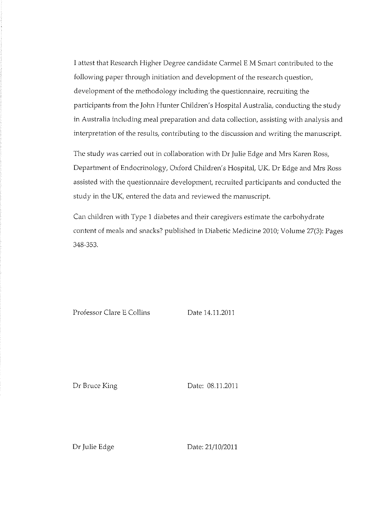I attest that Research Higher Degree candidate Carmel E M Smart contributed to the following paper through initiation and development of the research question, development of the methodology including the questionnaire, recruiting the participants from the John Hunter Children's Hospital Australia, conducting the study in Australia including meal preparation and data collection, assisting with analysis and interpretation of the results, contributing to the discussion and writing the manuscript.

The study was carried out in collaboration with Dr Julie Edge and Mrs Karen Ross, Department of Endocrinology, Oxford Children's Hospital, UK. Dr Edge and Mrs Ross assisted with the questionnaire development, recruited participants and conducted the study in the UK, entered the data and reviewed the manuscript.

Can children with Type 1 diabetes and their caregivers estimate the carbohydrate content of meals and snacks? published in Diabetic Medicine 2010; Volume 27(3): Pages 348-353.

Professor Clare E Collins

Date 14.11.2011

Dr Bruce King

Date: 08.11.2011

Dr Julie Edge

Date: 21/10/2011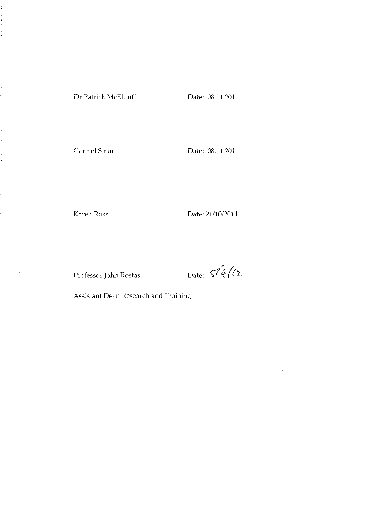Carmel Smart Date: 08.11.2011

 $\hat{\mathcal{A}}$ 

Karen Ross Date: 21/10/2011

Professor John Rostas Date:  $\sqrt[3]{4}/2$ 

 $\bar{z}$ 

Assistant Dean Research and Training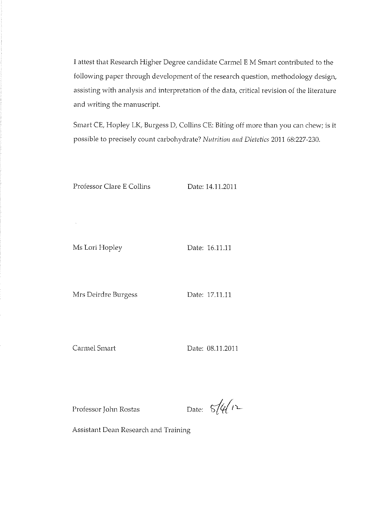I attest that Research Higher Degree candidate Carmel E M Smart contributed to the following paper through development of the research question, methodology design, assisting with analysis and interpretation of the data, critical revision of the literature and writing the manuscript.

Smart CE, Hopley LK, Burgess D, Collins CE: Biting off more than you can chew; is it possible to precisely count carbohydrate? Nutrition and Dietetics 2011 68:227-230.

Professor Clare E Collins

Date: 14,11,2011

Ms Lori Hopley

 $\bar{\lambda}$ 

Date: 16.11.11

Mrs Deirdre Burgess

Date: 17.11.11

Carmel Smart

Date: 08.11.2011

Professor John Rostas

Date:  $5/4/12$ 

Assistant Dean Research and Training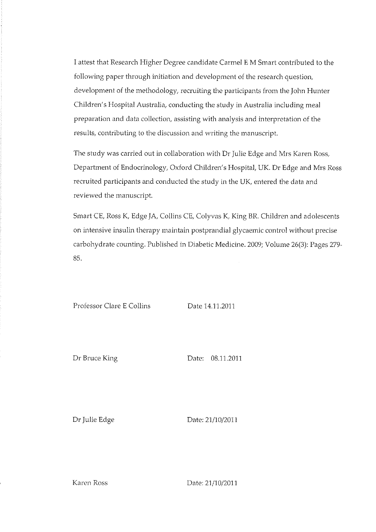I attest that Research Higher Degree candidate Carmel E M Smart contributed to the following paper through initiation and development of the research question, development of the methodology, recruiting the participants from the John Hunter Children's Hospital Australia, conducting the study in Australia including meal preparation and data collection, assisting with analysis and interpretation of the results, contributing to the discussion and writing the manuscript.

The study was carried out in collaboration with Dr Julie Edge and Mrs Karen Ross, Department of Endocrinology, Oxford Children's Hospital, UK. Dr Edge and Mrs Ross recruited participants and conducted the study in the UK, entered the data and reviewed the manuscript.

Smart CE, Ross K, Edge JA, Collins CE, Colyvas K, King BR. Children and adolescents on intensive insulin therapy maintain postprandial glycaemic control without precise carbohydrate counting. Published in Diabetic Medicine. 2009; Volume 26(3): Pages 279-85.

Professor Clare E Collins

Date 14.11.2011

Dr Bruce King

Date: 08.11.2011

Dr Julie Edge

Date: 21/10/2011

Karen Ross

Date: 21/10/2011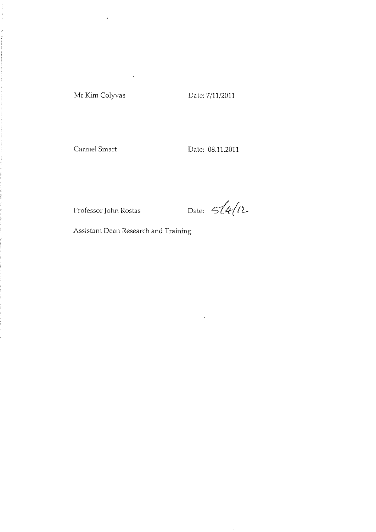#### Mr Kim Colyvas

Date: 7/11/2011

Carmel Smart

Date: 08.11.2011

Professor John Rostas

Date:  $514/12$ 

 $\hat{\mathcal{A}}$ 

Assistant Dean Research and Training

 $\sim 10^6$ 

 $\label{eq:2.1} \frac{1}{\sqrt{2}}\int_{\mathbb{R}^{2}}\frac{1}{\sqrt{2}}\left(\frac{1}{\sqrt{2}}\right)^{2}d\mu\left(\frac{1}{\sqrt{2}}\right)dx.$ 

 $\bar{\star}$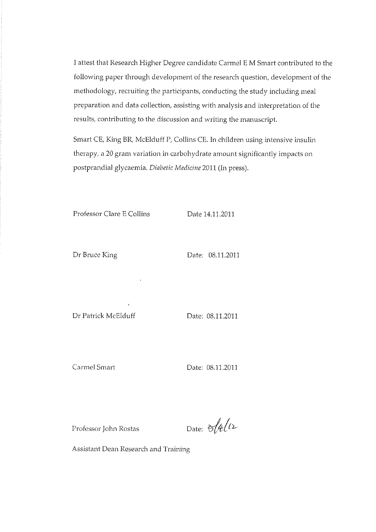I attest that Research Higher Degree candidate Carmel E M Smart contributed to the following paper through development of the research question, development of the methodology, recruiting the participants, conducting the study including meal preparation and data collection, assisting with analysis and interpretation of the results, contributing to the discussion and writing the manuscript.

Smart CE, King BR, McElduff P, Collins CE. In children using intensive insulin therapy, a 20 gram variation in carbohydrate amount significantly impacts on postprandial glycaemia. Diabetic Medicine 2011 (In press).

Professor Clare E Collins

Date 14.11.2011

Dr Bruce King

Date: 08.11.2011

Dr Patrick McElduff

Date: 08.11.2011

Carmel Smart

Date: 08.11.2011

Professor John Rostas

Date:  $\frac{1}{2}\sqrt{\frac{4}{12}}$ 

Assistant Dean Research and Training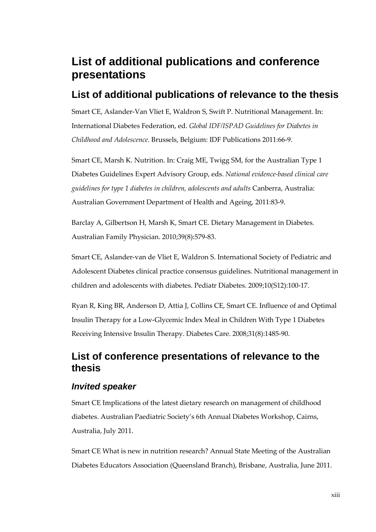### <span id="page-15-0"></span>**List of additional publications and conference presentations**

### <span id="page-15-1"></span>**List of additional publications of relevance to the thesis**

Smart CE, Aslander-Van Vliet E, Waldron S, Swift P. Nutritional Management. In: International Diabetes Federation, ed. *Global IDF/ISPAD Guidelines for Diabetes in Childhood and Adolescence*. Brussels, Belgium: IDF Publications 2011:66-9.

Smart CE, Marsh K. Nutrition. In: Craig ME, Twigg SM, for the Australian Type 1 Diabetes Guidelines Expert Advisory Group, eds. *National evidence-based clinical care guidelines for type 1 diabetes in children, adolescents and adults* Canberra, Australia: Australian Government Department of Health and Ageing, 2011:83-9.

Barclay A, Gilbertson H, Marsh K, Smart CE. Dietary Management in Diabetes. Australian Family Physician. 2010;39(8):579-83.

Smart CE, Aslander-van de Vliet E, Waldron S. International Society of Pediatric and Adolescent Diabetes clinical practice consensus guidelines. Nutritional management in children and adolescents with diabetes. Pediatr Diabetes. 2009;10(S12):100-17.

Ryan R, King BR, Anderson D, Attia J, Collins CE, Smart CE. Influence of and Optimal Insulin Therapy for a Low-Glycemic Index Meal in Children With Type 1 Diabetes Receiving Intensive Insulin Therapy. Diabetes Care. 2008;31(8):1485-90.

### <span id="page-15-2"></span>**List of conference presentations of relevance to the thesis**

#### <span id="page-15-3"></span>*Invited speaker*

Smart CE Implications of the latest dietary research on management of childhood diabetes. Australian Paediatric Society's 6th Annual Diabetes Workshop, Cairns, Australia, July 2011.

Smart CE What is new in nutrition research? Annual State Meeting of the Australian Diabetes Educators Association (Queensland Branch), Brisbane, Australia, June 2011.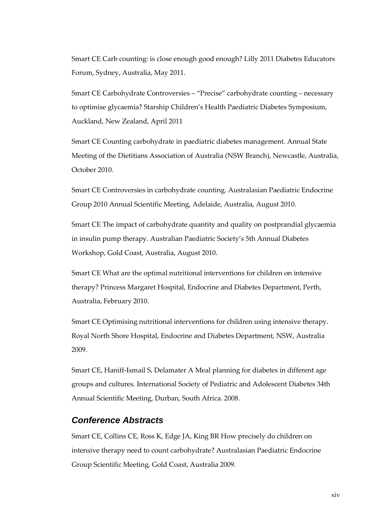Smart CE Carb counting: is close enough good enough? Lilly 2011 Diabetes Educators Forum, Sydney, Australia, May 2011.

Smart CE Carbohydrate Controversies – "Precise" carbohydrate counting – necessary to optimise glycaemia? Starship Children's Health Paediatric Diabetes Symposium, Auckland, New Zealand, April 2011

Smart CE Counting carbohydrate in paediatric diabetes management. Annual State Meeting of the Dietitians Association of Australia (NSW Branch), Newcastle, Australia, October 2010.

Smart CE Controversies in carbohydrate counting. Australasian Paediatric Endocrine Group 2010 Annual Scientific Meeting, Adelaide, Australia, August 2010.

Smart CE The impact of carbohydrate quantity and quality on postprandial glycaemia in insulin pump therapy. Australian Paediatric Society's 5th Annual Diabetes Workshop, Gold Coast, Australia, August 2010.

Smart CE What are the optimal nutritional interventions for children on intensive therapy? Princess Margaret Hospital, Endocrine and Diabetes Department, Perth, Australia, February 2010.

Smart CE Optimising nutritional interventions for children using intensive therapy. Royal North Shore Hospital, Endocrine and Diabetes Department, NSW, Australia 2009.

Smart CE, Haniff-Ismail S, Delamater A Meal planning for diabetes in different age groups and cultures. International Society of Pediatric and Adolescent Diabetes 34th Annual Scientific Meeting, Durban, South Africa. 2008.

#### <span id="page-16-0"></span>*Conference Abstracts*

Smart CE, Collins CE, Ross K, Edge JA, King BR How precisely do children on intensive therapy need to count carbohydrate? Australasian Paediatric Endocrine Group Scientific Meeting, Gold Coast, Australia 2009.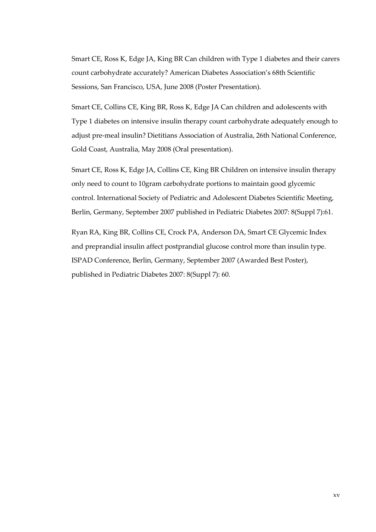Smart CE, Ross K, Edge JA, King BR Can children with Type 1 diabetes and their carers count carbohydrate accurately? American Diabetes Association's 68th Scientific Sessions, San Francisco, USA, June 2008 (Poster Presentation).

Smart CE, Collins CE, King BR, Ross K, Edge JA Can children and adolescents with Type 1 diabetes on intensive insulin therapy count carbohydrate adequately enough to adjust pre-meal insulin? Dietitians Association of Australia, 26th National Conference, Gold Coast, Australia, May 2008 (Oral presentation).

Smart CE, Ross K, Edge JA, Collins CE, King BR Children on intensive insulin therapy only need to count to 10gram carbohydrate portions to maintain good glycemic control. International Society of Pediatric and Adolescent Diabetes Scientific Meeting, Berlin, Germany, September 2007 published in Pediatric Diabetes 2007: 8(Suppl 7):61.

Ryan RA, King BR, Collins CE, Crock PA, Anderson DA, Smart CE Glycemic Index and preprandial insulin affect postprandial glucose control more than insulin type. ISPAD Conference, Berlin, Germany, September 2007 (Awarded Best Poster), published in Pediatric Diabetes 2007: 8(Suppl 7): 60.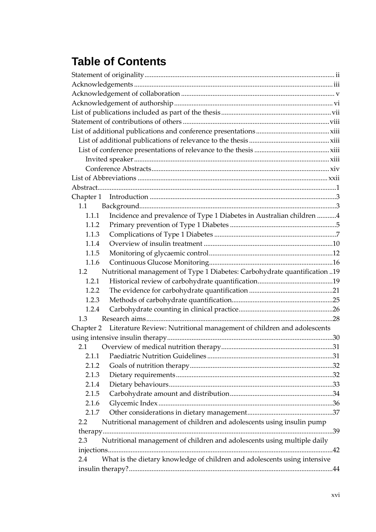## **Table of Contents**

| 1.1       |                                                                           |  |
|-----------|---------------------------------------------------------------------------|--|
| 1.1.1     | Incidence and prevalence of Type 1 Diabetes in Australian children 4      |  |
| 1.1.2     |                                                                           |  |
| 1.1.3     |                                                                           |  |
| 1.1.4     |                                                                           |  |
| 1.1.5     |                                                                           |  |
| 1.1.6     |                                                                           |  |
| 1.2       | Nutritional management of Type 1 Diabetes: Carbohydrate quantification 19 |  |
| 1.2.1     |                                                                           |  |
| 1.2.2     |                                                                           |  |
| 1.2.3     |                                                                           |  |
| 1.2.4     |                                                                           |  |
| 1.3       |                                                                           |  |
| Chapter 2 | Literature Review: Nutritional management of children and adolescents     |  |
|           |                                                                           |  |
| 2.1       |                                                                           |  |
| 2.1.1     |                                                                           |  |
| 2.1.2     |                                                                           |  |
| 2.1.3     |                                                                           |  |
| 2.1.4     |                                                                           |  |
| 2.1.5     |                                                                           |  |
| 2.1.6     |                                                                           |  |
| 2.1.7     |                                                                           |  |
| $2.2\,$   | Nutritional management of children and adolescents using insulin pump     |  |
|           |                                                                           |  |
| 2.3       | Nutritional management of children and adolescents using multiple daily   |  |
|           |                                                                           |  |
| 2.4       | What is the dietary knowledge of children and adolescents using intensive |  |
|           |                                                                           |  |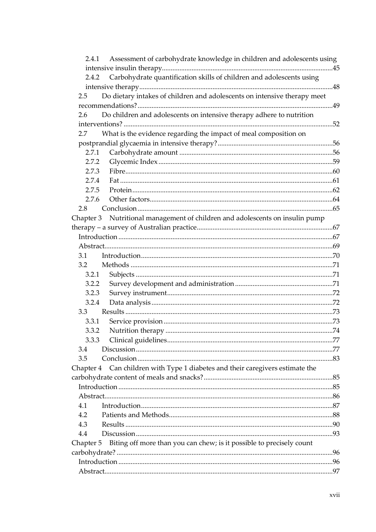| 2.4.1     | Assessment of carbohydrate knowledge in children and adolescents using        |  |
|-----------|-------------------------------------------------------------------------------|--|
|           |                                                                               |  |
| 2.4.2     | Carbohydrate quantification skills of children and adolescents using          |  |
|           |                                                                               |  |
| 2.5       | Do dietary intakes of children and adolescents on intensive therapy meet      |  |
|           |                                                                               |  |
| 2.6       | Do children and adolescents on intensive therapy adhere to nutrition          |  |
|           |                                                                               |  |
| 2.7       | What is the evidence regarding the impact of meal composition on              |  |
|           |                                                                               |  |
| 2.7.1     |                                                                               |  |
| 2.7.2     |                                                                               |  |
| 2.7.3     |                                                                               |  |
| 2.7.4     |                                                                               |  |
| 2.7.5     |                                                                               |  |
| 2.7.6     |                                                                               |  |
| 2.8       |                                                                               |  |
|           | Chapter 3 Nutritional management of children and adolescents on insulin pump  |  |
|           |                                                                               |  |
|           |                                                                               |  |
|           |                                                                               |  |
| 3.1       |                                                                               |  |
| 3.2       |                                                                               |  |
| 3.2.1     |                                                                               |  |
| 3.2.2     |                                                                               |  |
| 3.2.3     |                                                                               |  |
| 3.2.4     |                                                                               |  |
| 3.3       |                                                                               |  |
| 3.3.1     |                                                                               |  |
| 3.3.2     |                                                                               |  |
| 3.3.3     |                                                                               |  |
| 3.4       |                                                                               |  |
| 3.5       |                                                                               |  |
|           | Chapter 4 Can children with Type 1 diabetes and their caregivers estimate the |  |
|           |                                                                               |  |
|           |                                                                               |  |
|           |                                                                               |  |
| 4.1       |                                                                               |  |
| 4.2       |                                                                               |  |
| 4.3       |                                                                               |  |
| 4.4       |                                                                               |  |
| Chapter 5 | Biting off more than you can chew; is it possible to precisely count          |  |
|           |                                                                               |  |
|           |                                                                               |  |
|           |                                                                               |  |
|           |                                                                               |  |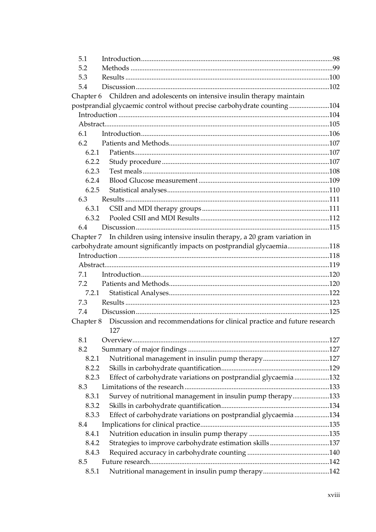| 5.1       |                                                                               |  |
|-----------|-------------------------------------------------------------------------------|--|
| 5.2       |                                                                               |  |
| 5.3       |                                                                               |  |
| 5.4       |                                                                               |  |
|           | Chapter 6 Children and adolescents on intensive insulin therapy maintain      |  |
|           | postprandial glycaemic control without precise carbohydrate counting104       |  |
|           |                                                                               |  |
|           |                                                                               |  |
| 6.1       |                                                                               |  |
| 6.2       |                                                                               |  |
| 6.2.1     |                                                                               |  |
| 6.2.2     |                                                                               |  |
| 6.2.3     |                                                                               |  |
| 6.2.4     |                                                                               |  |
| 6.2.5     |                                                                               |  |
| 6.3       |                                                                               |  |
| 6.3.1     |                                                                               |  |
| 6.3.2     |                                                                               |  |
| 6.4       |                                                                               |  |
|           | Chapter 7 In children using intensive insulin therapy, a 20 gram variation in |  |
|           | carbohydrate amount significantly impacts on postprandial glycaemia118        |  |
|           |                                                                               |  |
|           |                                                                               |  |
| 7.1       |                                                                               |  |
| 7.2       |                                                                               |  |
| 7.2.1     |                                                                               |  |
| 7.3       |                                                                               |  |
| 7.4       |                                                                               |  |
| Chapter 8 | Discussion and recommendations for clinical practice and future research      |  |
|           | 127                                                                           |  |
| 8.1       |                                                                               |  |
| 8.2       |                                                                               |  |
| 8.2.1     |                                                                               |  |
| 8.2.2     |                                                                               |  |
| 8.2.3     | Effect of carbohydrate variations on postprandial glycaemia132                |  |
| 8.3       |                                                                               |  |
| 8.3.1     | Survey of nutritional management in insulin pump therapy133                   |  |
| 8.3.2     |                                                                               |  |
| 8.3.3     | Effect of carbohydrate variations on postprandial glycaemia 134               |  |
| 8.4       |                                                                               |  |
| 8.4.1     |                                                                               |  |
| 8.4.2     |                                                                               |  |
| 8.4.3     |                                                                               |  |
| 8.5       |                                                                               |  |
| 8.5.1     |                                                                               |  |
|           |                                                                               |  |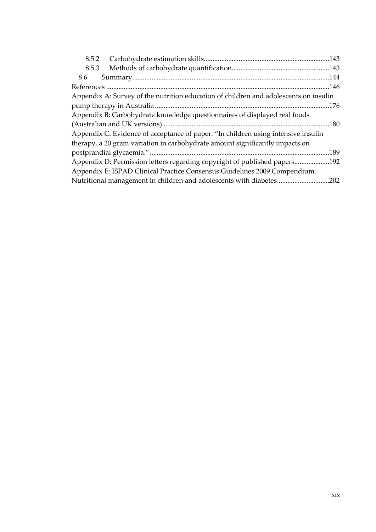| 8.5.2 |                                                                                      | .143 |
|-------|--------------------------------------------------------------------------------------|------|
| 8.5.3 |                                                                                      |      |
| 8.6   |                                                                                      |      |
|       |                                                                                      |      |
|       | Appendix A: Survey of the nutrition education of children and adolescents on insulin |      |
|       |                                                                                      | .176 |
|       | Appendix B: Carbohydrate knowledge questionnaires of displayed real foods            |      |
|       |                                                                                      | .180 |
|       | Appendix C: Evidence of acceptance of paper: "In children using intensive insulin    |      |
|       | therapy, a 20 gram variation in carbohydrate amount significantly impacts on         |      |
|       |                                                                                      | .189 |
|       | Appendix D: Permission letters regarding copyright of published papers192            |      |
|       | Appendix E: ISPAD Clinical Practice Consensus Guidelines 2009 Compendium.            |      |
|       |                                                                                      | .202 |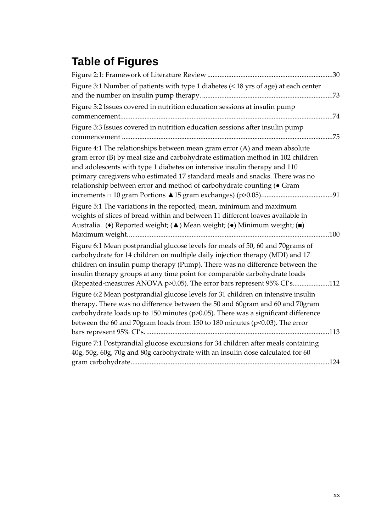# **Table of Figures**

| Figure 3:1 Number of patients with type 1 diabetes (< 18 yrs of age) at each center                                                                                                                                                                                                                                                                                                                     | .73  |
|---------------------------------------------------------------------------------------------------------------------------------------------------------------------------------------------------------------------------------------------------------------------------------------------------------------------------------------------------------------------------------------------------------|------|
| Figure 3:2 Issues covered in nutrition education sessions at insulin pump                                                                                                                                                                                                                                                                                                                               | .74  |
| Figure 3:3 Issues covered in nutrition education sessions after insulin pump                                                                                                                                                                                                                                                                                                                            | .75  |
| Figure 4:1 The relationships between mean gram error (A) and mean absolute<br>gram error (B) by meal size and carbohydrate estimation method in 102 children<br>and adolescents with type 1 diabetes on intensive insulin therapy and 110<br>primary caregivers who estimated 17 standard meals and snacks. There was no<br>relationship between error and method of carbohydrate counting (. Gram      |      |
| Figure 5:1 The variations in the reported, mean, minimum and maximum<br>weights of slices of bread within and between 11 different loaves available in<br>Australia. (•) Reported weight; (▲) Mean weight; (•) Minimum weight; (■)                                                                                                                                                                      |      |
|                                                                                                                                                                                                                                                                                                                                                                                                         | .100 |
| Figure 6:1 Mean postprandial glucose levels for meals of 50, 60 and 70grams of<br>carbohydrate for 14 children on multiple daily injection therapy (MDI) and 17<br>children on insulin pump therapy (Pump). There was no difference between the<br>insulin therapy groups at any time point for comparable carbohydrate loads<br>(Repeated-measures ANOVA p>0.05). The error bars represent 95% CI's112 |      |
| Figure 6:2 Mean postprandial glucose levels for 31 children on intensive insulin<br>therapy. There was no difference between the 50 and 60gram and 60 and 70gram<br>carbohydrate loads up to 150 minutes ( $p$ $>$ 0.05). There was a significant difference<br>between the 60 and 70gram loads from 150 to 180 minutes (p<0.03). The error                                                             |      |
| Figure 7:1 Postprandial glucose excursions for 34 children after meals containing<br>40g, 50g, 60g, 70g and 80g carbohydrate with an insulin dose calculated for 60                                                                                                                                                                                                                                     |      |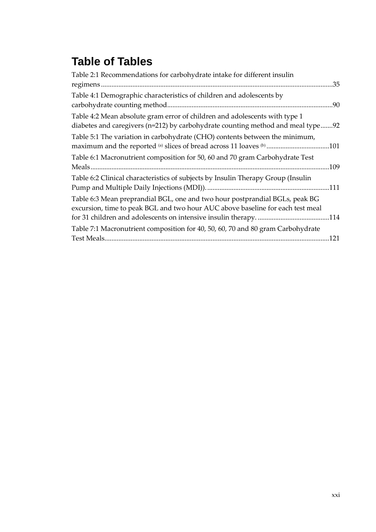## **Table of Tables**

| Table 2:1 Recommendations for carbohydrate intake for different insulin                                                                                       |      |
|---------------------------------------------------------------------------------------------------------------------------------------------------------------|------|
|                                                                                                                                                               | .35  |
| Table 4:1 Demographic characteristics of children and adolescents by                                                                                          |      |
|                                                                                                                                                               | .90  |
| Table 4:2 Mean absolute gram error of children and adolescents with type 1<br>diabetes and caregivers (n=212) by carbohydrate counting method and meal type.  | 92   |
| Table 5:1 The variation in carbohydrate (CHO) contents between the minimum,<br>maximum and the reported (a) slices of bread across 11 loaves (b) 101          |      |
| Table 6:1 Macronutrient composition for 50, 60 and 70 gram Carbohydrate Test                                                                                  | .109 |
| Table 6:2 Clinical characteristics of subjects by Insulin Therapy Group (Insulin                                                                              |      |
| Table 6:3 Mean preprandial BGL, one and two hour postprandial BGLs, peak BG<br>excursion, time to peak BGL and two hour AUC above baseline for each test meal |      |
| Table 7:1 Macronutrient composition for 40, 50, 60, 70 and 80 gram Carbohydrate<br>Test Meals                                                                 | 121  |
|                                                                                                                                                               |      |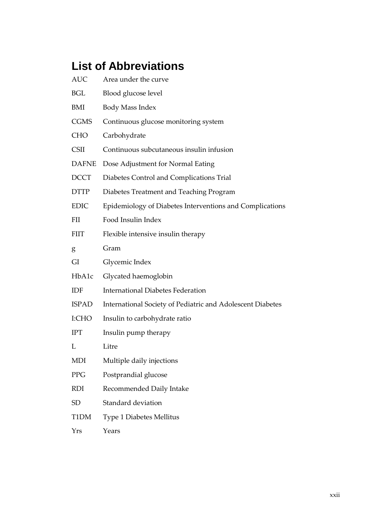# <span id="page-24-0"></span>**List of Abbreviations**

| <b>AUC</b>   | Area under the curve                                       |
|--------------|------------------------------------------------------------|
| BGL          | Blood glucose level                                        |
| BMI          | Body Mass Index                                            |
| <b>CGMS</b>  | Continuous glucose monitoring system                       |
| <b>CHO</b>   | Carbohydrate                                               |
| <b>CSII</b>  | Continuous subcutaneous insulin infusion                   |
| <b>DAFNE</b> | Dose Adjustment for Normal Eating                          |
| <b>DCCT</b>  | Diabetes Control and Complications Trial                   |
| <b>DTTP</b>  | Diabetes Treatment and Teaching Program                    |
| <b>EDIC</b>  | Epidemiology of Diabetes Interventions and Complications   |
| <b>FII</b>   | Food Insulin Index                                         |
| <b>FIIT</b>  | Flexible intensive insulin therapy                         |
| g            | Gram                                                       |
| GI           | Glycemic Index                                             |
| HbA1c        | Glycated haemoglobin                                       |
| IDF          | <b>International Diabetes Federation</b>                   |
| <b>ISPAD</b> | International Society of Pediatric and Adolescent Diabetes |
| I:CHO        | Insulin to carbohydrate ratio                              |
| <b>IPT</b>   | Insulin pump therapy                                       |
| L            | Litre                                                      |
| MDI          | Multiple daily injections                                  |
| PPG          | Postprandial glucose                                       |
| <b>RDI</b>   | Recommended Daily Intake                                   |
| <b>SD</b>    | Standard deviation                                         |
| T1DM         | <b>Type 1 Diabetes Mellitus</b>                            |
| Yrs          | Years                                                      |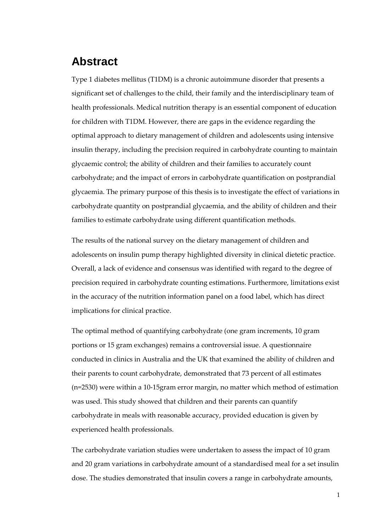#### <span id="page-25-0"></span>**Abstract**

Type 1 diabetes mellitus (T1DM) is a chronic autoimmune disorder that presents a significant set of challenges to the child, their family and the interdisciplinary team of health professionals. Medical nutrition therapy is an essential component of education for children with T1DM. However, there are gaps in the evidence regarding the optimal approach to dietary management of children and adolescents using intensive insulin therapy, including the precision required in carbohydrate counting to maintain glycaemic control; the ability of children and their families to accurately count carbohydrate; and the impact of errors in carbohydrate quantification on postprandial glycaemia. The primary purpose of this thesis is to investigate the effect of variations in carbohydrate quantity on postprandial glycaemia, and the ability of children and their families to estimate carbohydrate using different quantification methods.

The results of the national survey on the dietary management of children and adolescents on insulin pump therapy highlighted diversity in clinical dietetic practice. Overall, a lack of evidence and consensus was identified with regard to the degree of precision required in carbohydrate counting estimations. Furthermore, limitations exist in the accuracy of the nutrition information panel on a food label, which has direct implications for clinical practice.

The optimal method of quantifying carbohydrate (one gram increments, 10 gram portions or 15 gram exchanges) remains a controversial issue. A questionnaire conducted in clinics in Australia and the UK that examined the ability of children and their parents to count carbohydrate, demonstrated that 73 percent of all estimates (n=2530) were within a 10-15gram error margin, no matter which method of estimation was used. This study showed that children and their parents can quantify carbohydrate in meals with reasonable accuracy, provided education is given by experienced health professionals.

The carbohydrate variation studies were undertaken to assess the impact of 10 gram and 20 gram variations in carbohydrate amount of a standardised meal for a set insulin dose. The studies demonstrated that insulin covers a range in carbohydrate amounts,